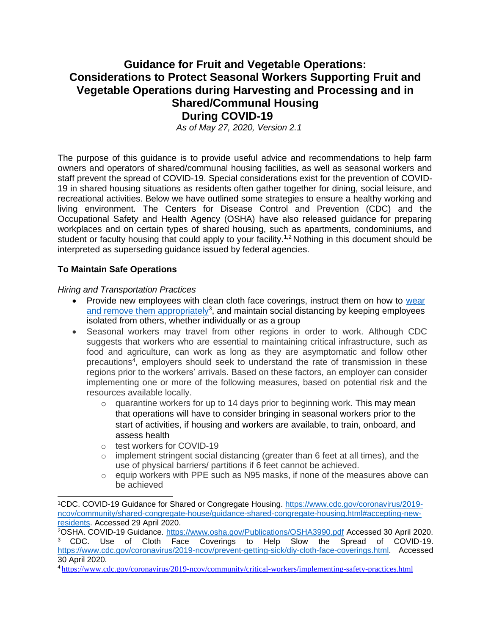# **Guidance for Fruit and Vegetable Operations: Considerations to Protect Seasonal Workers Supporting Fruit and Vegetable Operations during Harvesting and Processing and in Shared/Communal Housing During COVID-19**

*As of May 27, 2020, Version 2.1*

The purpose of this guidance is to provide useful advice and recommendations to help farm owners and operators of shared/communal housing facilities, as well as seasonal workers and staff prevent the spread of COVID-19. Special considerations exist for the prevention of COVID-19 in shared housing situations as residents often gather together for dining, social leisure, and recreational activities. Below we have outlined some strategies to ensure a healthy working and living environment. The Centers for Disease Control and Prevention (CDC) and the Occupational Safety and Health Agency (OSHA) have also released guidance for preparing workplaces and on certain types of shared housing, such as apartments, condominiums, and student or faculty housing that could apply to your facility.<sup>1,2</sup> Nothing in this document should be interpreted as superseding guidance issued by federal agencies.

#### **To Maintain Safe Operations**

*Hiring and Transportation Practices*

- Provide new employees with clean cloth face coverings, instruct them on how to [wear](https://static1.squarespace.com/static/5e7d1107dac60a6b3e3f098d/t/5e8b7df8de0d171c25e37568/1586200057047/Proper%2BUsage%2Bof%2BFace%2BMasks_6Apr2020_Version%2B2_SIGNED.pdf) [and remove them appropriately](https://static1.squarespace.com/static/5e7d1107dac60a6b3e3f098d/t/5e8b7df8de0d171c25e37568/1586200057047/Proper%2BUsage%2Bof%2BFace%2BMasks_6Apr2020_Version%2B2_SIGNED.pdf)<sup>3</sup>, and maintain social distancing by keeping employees isolated from others, whether individually or as a group
- Seasonal workers may travel from other regions in order to work. Although CDC suggests that workers who are essential to maintaining critical infrastructure, such as food and agriculture, can work as long as they are asymptomatic and follow other precautions<sup>4</sup>, employers should seek to understand the rate of transmission in these regions prior to the workers' arrivals. Based on these factors, an employer can consider implementing one or more of the following measures, based on potential risk and the resources available locally.
	- o quarantine workers for up to 14 days prior to beginning work. This may mean that operations will have to consider bringing in seasonal workers prior to the start of activities, if housing and workers are available, to train, onboard, and assess health
	- o test workers for COVID-19
	- $\circ$  implement stringent social distancing (greater than 6 feet at all times), and the use of physical barriers/ partitions if 6 feet cannot be achieved.
	- $\circ$  equip workers with PPE such as N95 masks, if none of the measures above can be achieved

<sup>1</sup>CDC. COVID-19 Guidance for Shared or Congregate Housing. [https://www.cdc.gov/coronavirus/2019](https://www.cdc.gov/coronavirus/2019-ncov/community/shared-congregate-house/guidance-shared-congregate-housing.html#accepting-new-residents) [ncov/community/shared-congregate-house/guidance-shared-congregate-housing.html#accepting-new](https://www.cdc.gov/coronavirus/2019-ncov/community/shared-congregate-house/guidance-shared-congregate-housing.html#accepting-new-residents)[residents. A](https://www.cdc.gov/coronavirus/2019-ncov/community/shared-congregate-house/guidance-shared-congregate-housing.html#accepting-new-residents)ccessed 29 April 2020.

<sup>2</sup>OSHA. COVID-19 Guidance.<https://www.osha.gov/Publications/OSHA3990.pdf> Accessed 30 April 2020. <sup>3</sup> CDC. Use of Cloth Face Coverings to Help Slow the Spread of COVID-19. [https://www.cdc.gov/coronavirus/2019-ncov/prevent-getting-sick/diy-cloth-face-coverings.html. A](https://www.cdc.gov/coronavirus/2019-ncov/prevent-getting-sick/diy-cloth-face-coverings.html)ccessed 30 April 2020.

<sup>4</sup> <https://www.cdc.gov/coronavirus/2019-ncov/community/critical-workers/implementing-safety-practices.html>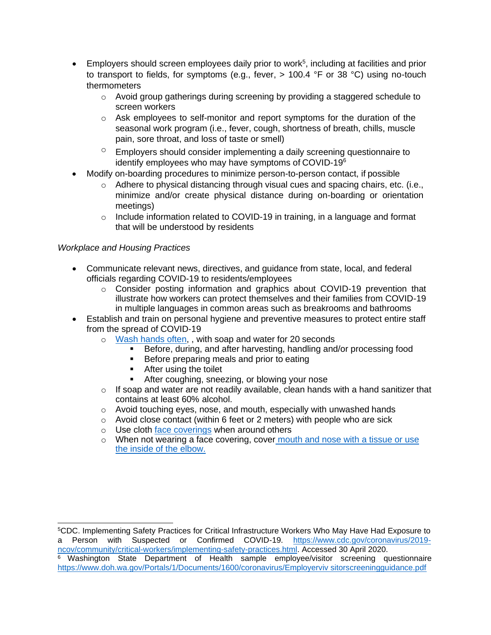- $\bullet$  Employers should screen employees daily prior to work<sup>5</sup>, including at facilities and prior to transport to fields, for symptoms (e.g., fever,  $> 100.4$  °F or 38 °C) using no-touch thermometers
	- $\circ$  Avoid group gatherings during screening by providing a staggered schedule to screen workers
	- $\circ$  Ask employees to self-monitor and report symptoms for the duration of the seasonal work program (i.e., fever, cough, shortness of breath, chills, muscle pain, sore throat, and loss of taste or smell)
	- $\degree$  Employers should consider implementing a daily screening questionnaire to identify employees who may have symptoms of COVID-19<sup>6</sup>
- Modify on-boarding procedures to minimize person-to-person contact, if possible
	- o Adhere to physical distancing through visual cues and spacing chairs, etc. (i.e., minimize and/or create physical distance during on-boarding or orientation meetings)
	- o Include information related to COVID-19 in training, in a language and format that will be understood by residents

### *Workplace and Housing Practices*

- Communicate relevant news, directives, and guidance from state, local, and federal officials regarding COVID-19 to residents/employees
	- $\circ$  Consider posting information and graphics about COVID-19 prevention that illustrate how workers can protect themselves and their families from COVID-19 in multiple languages in common areas such as breakrooms and bathrooms
- Establish and train on personal hygiene and preventive measures to protect entire staff from the spread of COVID-19
	- o [Wash hands often,](https://www.cdc.gov/handwashing/when-how-handwashing.html) , with soap and water for 20 seconds
		- Before, during, and after harvesting, handling and/or processing food
		- Before preparing meals and prior to eating
		- After using the toilet
		- After coughing, sneezing, or blowing your nose
	- $\circ$  If soap and water are not readily available, clean hands with a hand sanitizer that contains at least 60% alcohol.
	- o Avoid touching eyes, nose, and mouth, especially with unwashed hands
	- $\circ$  Avoid close contact (within 6 feet or 2 meters) with people who are sick
	- o Use cloth [face coverings](https://static1.squarespace.com/static/5e7d1107dac60a6b3e3f098d/t/5e8b7df8de0d171c25e37568/1586200057047/Proper%2BUsage%2Bof%2BFace%2BMasks_6Apr2020_Version%2B2_SIGNED.pdf) when around others
	- $\circ$  When not wearing a face covering, cover mouth and nose with a tissue or use the inside of the elbow.

<sup>5</sup>CDC. Implementing Safety Practices for Critical Infrastructure Workers Who May Have Had Exposure to a Person with Suspected or Confirmed COVID-19. [https://www.cdc.gov/coronavirus/2019](https://www.cdc.gov/coronavirus/2019-ncov/community/critical-workers/implementing-safety-practices.html) [ncov/community/critical-workers/implementing-safety-practices.html. A](https://www.cdc.gov/coronavirus/2019-ncov/community/critical-workers/implementing-safety-practices.html)ccessed 30 April 2020.

 $6$  Washington State Department of Health sample employee/visitor screening questionnaire [https://www.doh.wa.gov/Portals/1/Documents/1600/coronavirus/Employerviv sitorscreeningguidance.pdf](https://www.doh.wa.gov/Portals/1/Documents/1600/coronavirus/Employerviv%20sitorscreeningguidance.pdf)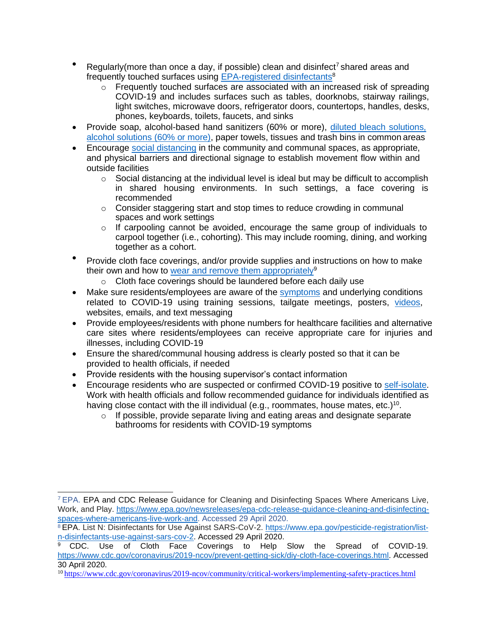- Regularly(more than once a day, if possible) clean and disinfect<sup>7</sup> shared areas and frequently touched surfaces using [EPA-registered disinfectants](https://www.epa.gov/pesticide-registration/list-n-disinfectants-use-against-sars-cov-2)<sup>8</sup>
	- $\circ$  Frequently touched surfaces are associated with an increased risk of spreading COVID-19 and includes surfaces such as tables, doorknobs, stairway railings, light switches, microwave doors, refrigerator doors, countertops, handles, desks, phones, keyboards, toilets, faucets, and sinks
- Provide soap, alcohol-based hand sanitizers (60% or more), [diluted bleach solutions,](https://www.cdc.gov/coronavirus/2019-ncov/community/disinfecting-building-facility.html) [alcohol solutions \(60% or more\),](https://www.cdc.gov/coronavirus/2019-ncov/community/disinfecting-building-facility.html) paper towels, tissues and trash bins in common areas
- Encourage [social distancing](https://static1.squarespace.com/static/5e7d1107dac60a6b3e3f098d/t/5e94bed7088a700728370eb3/1586806488448/2020-03-31%2BEmergency%2BPrevention%2BMeasures%2Bto%2BAchieve%2BPhysical%2B%28Social%29%2BDistancing%2Bin%2BFood%2BManufacturing%2BFacilities%2Bas%2BRelated%2Bto%2BCOVID-19_SIGNED.pdf) in the community and communal spaces, as appropriate, and physical barriers and directional signage to establish movement flow within and outside facilities
	- $\circ$  Social distancing at the individual level is ideal but may be difficult to accomplish in shared housing environments. In such settings, a face covering is recommended
	- $\circ$  Consider staggering start and stop times to reduce crowding in communal spaces and work settings
	- $\circ$  If carpooling cannot be avoided, encourage the same group of individuals to carpool together (i.e., cohorting). This may include rooming, dining, and working together as a cohort.
- Provide cloth face coverings, and/or provide supplies and instructions on how to make their own and how to [wear and remove them](https://static1.squarespace.com/static/5e7d1107dac60a6b3e3f098d/t/5e8b7df8de0d171c25e37568/1586200057047/Proper%2BUsage%2Bof%2BFace%2BMasks_6Apr2020_Version%2B2_SIGNED.pdf) appropriately<sup>9</sup>
	- o Cloth face coverings should be laundered before each daily use
- Make sure residents/employees are aware of the [symptoms](https://www.cdc.gov/coronavirus/2019-ncov/symptoms-testing/index.html) and underlying conditions related to COVID-19 using training sessions, tailgate meetings, posters, [videos,](https://www.cdc.gov/coronavirus/2019-ncov/communication/videos.html) websites, emails, and text messaging
- Provide employees/residents with phone numbers for healthcare facilities and alternative care sites where residents/employees can receive appropriate care for injuries and illnesses, including COVID-19
- Ensure the shared/communal housing address is clearly posted so that it can be provided to health officials, if needed
- Provide residents with the housing supervisor's contact information
- Encourage residents who are suspected or confirmed COVID-19 positive to [self-isolate.](https://www.cdc.gov/coronavirus/2019-ncov/if-you-are-sick/quarantine-isolation.html) Work with health officials and follow recommended guidance for individuals identified as having close contact with the ill individual (e.g., roommates, house mates, etc.)<sup>10</sup>.
	- o If possible, provide separate living and eating areas and designate separate bathrooms for residents with COVID-19 symptoms

<sup>7</sup>EPA. EPA and CDC Release Guidance for Cleaning and Disinfecting Spaces Where Americans Live, Work, and Play. [https://www.epa.gov/newsreleases/epa-cdc-release-guidance-cleaning-and-disinfecting](https://www.epa.gov/newsreleases/epa-cdc-release-guidance-cleaning-and-disinfecting-spaces-where-americans-live-work-and)[spaces-where-americans-live-work-and. A](https://www.epa.gov/newsreleases/epa-cdc-release-guidance-cleaning-and-disinfecting-spaces-where-americans-live-work-and)ccessed 29 April 2020.

<sup>8</sup> EPA. List N: Disinfectants for Use Against SARS-CoV-2. [https://www.epa.gov/pesticide-registration/list](https://www.epa.gov/pesticide-registration/list-n-disinfectants-use-against-sars-cov-2)[n-disinfectants-use-against-sars-cov-2. A](https://www.epa.gov/pesticide-registration/list-n-disinfectants-use-against-sars-cov-2)ccessed 29 April 2020.

<sup>&</sup>lt;sup>9</sup> CDC. Use of Cloth Face Coverings to Help Slow the Spread of COVID-19. [https://www.cdc.gov/coronavirus/2019-ncov/prevent-getting-sick/diy-cloth-face-coverings.html. A](https://www.cdc.gov/coronavirus/2019-ncov/prevent-getting-sick/diy-cloth-face-coverings.html)ccessed 30 April 2020.

<sup>10</sup> <https://www.cdc.gov/coronavirus/2019-ncov/community/critical-workers/implementing-safety-practices.html>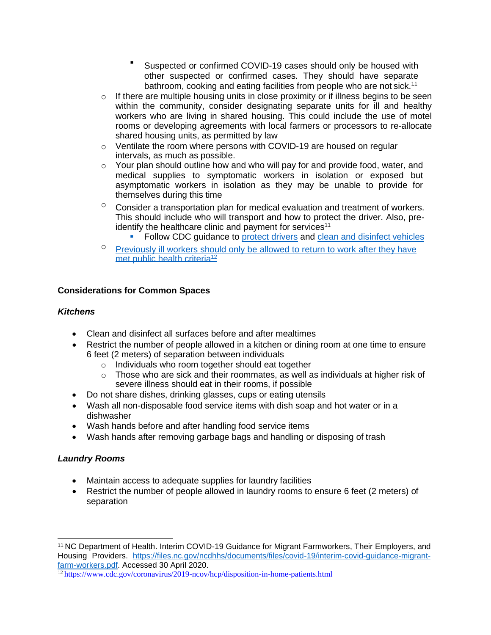- Suspected or confirmed COVID-19 cases should only be housed with other suspected or confirmed cases. They should have separate bathroom, cooking and eating facilities from people who are not sick.<sup>11</sup>
- $\circ$  If there are multiple housing units in close proximity or if illness begins to be seen within the community, consider designating separate units for ill and healthy workers who are living in shared housing. This could include the use of motel rooms or developing agreements with local farmers or processors to re-allocate shared housing units, as permitted by law
- o Ventilate the room where persons with COVID-19 are housed on regular intervals, as much as possible.
- $\circ$  Your plan should outline how and who will pay for and provide food, water, and medical supplies to symptomatic workers in isolation or exposed but asymptomatic workers in isolation as they may be unable to provide for themselves during this time
- $\degree$  Consider a transportation plan for medical evaluation and treatment of workers. This should include who will transport and how to protect the driver. Also, preidentify the healthcare clinic and payment for services<sup>11</sup>

**• Follow CDC guidance to [protect drivers](https://www.cdc.gov/coronavirus/2019-ncov/community/organizations/rideshare-drivers-for-hire.html) and [clean and disinfect](https://www.cdc.gov/coronavirus/2019-ncov/community/organizations/disinfecting-transport-vehicles.html) vehicles** 

<sup>o</sup> Previously ill workers should only be allowed to return to work after they have met public health criteria<sup>12</sup>

#### **Considerations for Common Spaces**

#### *Kitchens*

- Clean and disinfect all surfaces before and after mealtimes
- Restrict the number of people allowed in a kitchen or dining room at one time to ensure 6 feet (2 meters) of separation between individuals
	- o Individuals who room together should eat together
	- $\circ$  Those who are sick and their roommates, as well as individuals at higher risk of severe illness should eat in their rooms, if possible
- Do not share dishes, drinking glasses, cups or eating utensils
- Wash all non-disposable food service items with dish soap and hot water or in a dishwasher
- Wash hands before and after handling food service items
- Wash hands after removing garbage bags and handling or disposing of trash

#### *Laundry Rooms*

- Maintain access to adequate supplies for laundry facilities
- Restrict the number of people allowed in laundry rooms to ensure 6 feet (2 meters) of separation

<sup>&</sup>lt;sup>11</sup> NC Department of Health. Interim COVID-19 Guidance for Migrant Farmworkers, Their Employers, and Housing Providers. [https://files.nc.gov/ncdhhs/documents/files/covid-19/interim-covid-guidance-migrant](https://files.nc.gov/ncdhhs/documents/files/covid-19/interim-covid-guidance-migrant-farm-workers.pdf)[farm-workers.pdf. A](https://files.nc.gov/ncdhhs/documents/files/covid-19/interim-covid-guidance-migrant-farm-workers.pdf)ccessed 30 April 2020.

<sup>12</sup> <https://www.cdc.gov/coronavirus/2019-ncov/hcp/disposition-in-home-patients.html>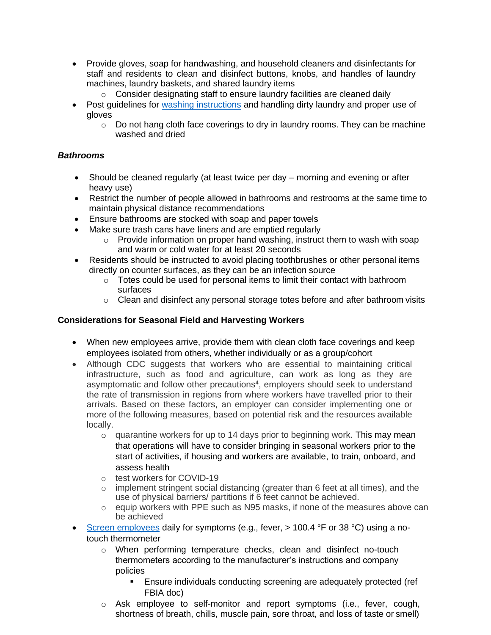- Provide gloves, soap for handwashing, and household cleaners and disinfectants for staff and residents to clean and disinfect buttons, knobs, and handles of laundry machines, laundry baskets, and shared laundry items
	- o Consider designating staff to ensure laundry facilities are cleaned daily
- Post quidelines for [washing instructions](https://www.cdc.gov/coronavirus/2019-ncov/community/disinfecting-building-facility.html) and handling dirty laundry and proper use of gloves
	- $\circ$  Do not hang cloth face coverings to dry in laundry rooms. They can be machine washed and dried

### *Bathrooms*

- Should be cleaned regularly (at least twice per day morning and evening or after heavy use)
- Restrict the number of people allowed in bathrooms and restrooms at the same time to maintain physical distance recommendations
- Ensure bathrooms are stocked with soap and paper towels
- Make sure trash cans have liners and are emptied regularly
	- $\circ$  Provide information on proper hand washing, instruct them to wash with soap and warm or cold water for at least 20 seconds
- Residents should be instructed to avoid placing toothbrushes or other personal items directly on counter surfaces, as they can be an infection source
	- $\circ$  Totes could be used for personal items to limit their contact with bathroom surfaces
	- o Clean and disinfect any personal storage totes before and after bathroom visits

### **Considerations for Seasonal Field and Harvesting Workers**

- When new employees arrive, provide them with clean cloth face coverings and keep employees isolated from others, whether individually or as a group/cohort
- Although CDC suggests that workers who are essential to maintaining critical infrastructure, such as food and agriculture, can work as long as they are asymptomatic and follow other precautions<sup>4</sup>, employers should seek to understand the rate of transmission in regions from where workers have travelled prior to their arrivals. Based on these factors, an employer can consider implementing one or more of the following measures, based on potential risk and the resources available locally.
	- $\circ$  quarantine workers for up to 14 days prior to beginning work. This may mean that operations will have to consider bringing in seasonal workers prior to the start of activities, if housing and workers are available, to train, onboard, and assess health
	- o test workers for COVID-19
	- o implement stringent social distancing (greater than 6 feet at all times), and the use of physical barriers/ partitions if 6 feet cannot be achieved.
	- o equip workers with PPE such as N95 masks, if none of the measures above can be achieved
- [Screen employees](https://static1.squarespace.com/static/5e7d1107dac60a6b3e3f098d/t/5e94beb12a1482195b7e2fa3/1586806449744/Employee%2BScreening%2B-%2B20200330_draft%2Bfinal%2B%28002%29_SIGNED.pdf) daily for symptoms (e.g., fever, > 100.4 °F or 38 °C) using a notouch thermometer
	- o When performing temperature checks, clean and disinfect no-touch thermometers according to the manufacturer's instructions and company policies
		- **Ensure individuals conducting screening are adequately protected (ref** FBIA doc)
	- o Ask employee to self-monitor and report symptoms (i.e., fever, cough, shortness of breath, chills, muscle pain, sore throat, and loss of taste or smell)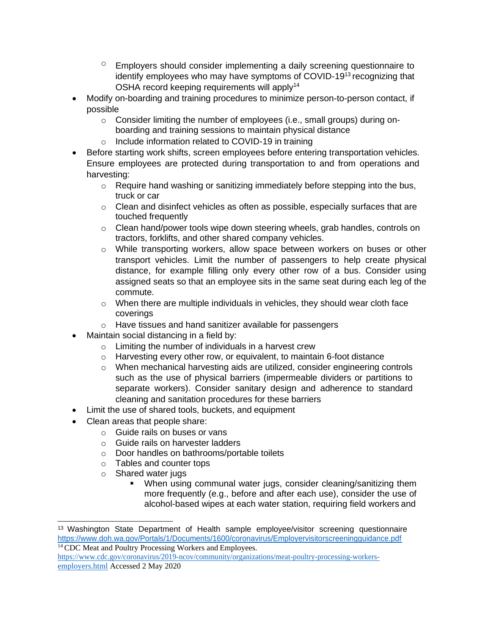- $\degree$  Employers should consider implementing a daily screening questionnaire to identify employees who may have symptoms of COVID-19<sup>13</sup> recognizing that OSHA record keeping requirements will apply<sup>14</sup>
- Modify on-boarding and training procedures to minimize person-to-person contact, if possible
	- o Consider limiting the number of employees (i.e., small groups) during onboarding and training sessions to maintain physical distance
	- o Include information related to COVID-19 in training
- Before starting work shifts, screen employees before entering transportation vehicles. Ensure employees are protected during transportation to and from operations and harvesting:
	- o Require hand washing or sanitizing immediately before stepping into the bus, truck or car
	- $\circ$  Clean and disinfect vehicles as often as possible, especially surfaces that are touched frequently
	- $\circ$  Clean hand/power tools wipe down steering wheels, grab handles, controls on tractors, forklifts, and other shared company vehicles.
	- o While transporting workers, allow space between workers on buses or other transport vehicles. Limit the number of passengers to help create physical distance, for example filling only every other row of a bus. Consider using assigned seats so that an employee sits in the same seat during each leg of the commute.
	- $\circ$  When there are multiple individuals in vehicles, they should wear cloth face coverings
	- o Have tissues and hand sanitizer available for passengers
- Maintain social distancing in a field by:
	- $\circ$  Limiting the number of individuals in a harvest crew
	- o Harvesting every other row, or equivalent, to maintain 6-foot distance
	- $\circ$  When mechanical harvesting aids are utilized, consider engineering controls such as the use of physical barriers (impermeable dividers or partitions to separate workers). Consider sanitary design and adherence to standard cleaning and sanitation procedures for these barriers
- Limit the use of shared tools, buckets, and equipment
- Clean areas that people share:
	- o Guide rails on buses or vans
	- o Guide rails on harvester ladders
	- o Door handles on bathrooms/portable toilets
	- o Tables and counter tops
	- o Shared water jugs
		- **•** When using communal water jugs, consider cleaning/sanitizing them more frequently (e.g., before and after each use), consider the use of alcohol-based wipes at each water station, requiring field workers and

<sup>&</sup>lt;sup>13</sup> Washington State Department of Health sample employee/visitor screening questionnaire <https://www.doh.wa.gov/Portals/1/Documents/1600/coronavirus/Employervisitorscreeningguidance.pdf> <sup>14</sup> CDC Meat and Poultry Processing Workers and Employees.

[https://www.cdc.gov/coronavirus/2019-ncov/community/organizations/meat-poultry-processing-workers](https://www.cdc.gov/coronavirus/2019-ncov/community/organizations/meat-poultry-processing-workers-employers.html)[employers.html](https://www.cdc.gov/coronavirus/2019-ncov/community/organizations/meat-poultry-processing-workers-employers.html) Accessed 2 May 2020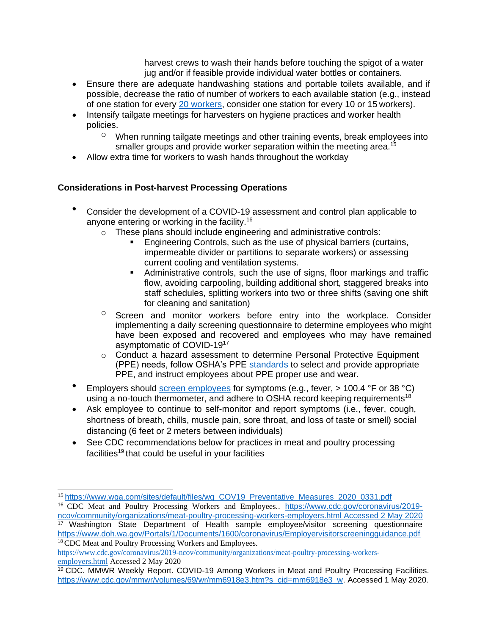harvest crews to wash their hands before touching the spigot of a water jug and/or if feasible provide individual water bottles or containers.

- Ensure there are adequate handwashing stations and portable toilets available, and if possible, decrease the ratio of number of workers to each available station (e.g., instead of one station for every [20 workers,](https://www.osha.gov/laws-regs/regulations/standardnumber/1928/1928.110) consider one station for every 10 or 15 workers).
- Intensify tailgate meetings for harvesters on hygiene practices and worker health policies.
	- $\degree$  When running tailgate meetings and other training events, break employees into smaller groups and provide worker separation within the meeting area.<sup>15</sup>
- Allow extra time for workers to wash hands throughout the workday

### **Considerations in Post-harvest Processing Operations**

- Consider the development of a COVID-19 assessment and control plan applicable to anyone entering or working in the facility.<sup>16</sup>
	- o These plans should include engineering and administrative controls:
		- Engineering Controls, such as the use of physical barriers (curtains, impermeable divider or partitions to separate workers) or assessing current cooling and ventilation systems.
		- **EXED** Administrative controls, such the use of signs, floor markings and traffic flow, avoiding carpooling, building additional short, staggered breaks into staff schedules, splitting workers into two or three shifts (saving one shift for cleaning and sanitation)
	- $\circ$  Screen and monitor workers before entry into the workplace. Consider implementing a daily screening questionnaire to determine employees who might have been exposed and recovered and employees who may have remained asymptomatic of COVID-19<sup>17</sup>
	- o Conduct a hazard assessment to determine Personal Protective Equipment (PPE) needs, follow OSHA's PPE [standards](https://www.osha.gov/laws-regs/regulations/standardnumber/1910#1910_Subpart_I) to select and provide appropriate PPE, and instruct employees about PPE proper use and wear.
- Employers should [screen employees](https://static1.squarespace.com/static/5e7d1107dac60a6b3e3f098d/t/5e94beb12a1482195b7e2fa3/1586806449744/Employee%2BScreening%2B-%2B20200330_draft%2Bfinal%2B%28002%29_SIGNED.pdf) for symptoms (e.g., fever, > 100.4 °F or 38 °C) using a no-touch thermometer, and adhere to OSHA record keeping requirements<sup>18</sup>
- Ask employee to continue to self-monitor and report symptoms (i.e., fever, cough, shortness of breath, chills, muscle pain, sore throat, and loss of taste or smell) social distancing (6 feet or 2 meters between individuals)
- See CDC recommendations below for practices in meat and poultry processing facilities<sup>19</sup> that could be useful in your facilities

<sup>16</sup> CDC Meat and Poultry Processing Workers and Employees.. [https://www.cdc.gov/coronavirus/2019](https://www.cdc.gov/coronavirus/2019-ncov/community/organizations/meat-poultry-processing-workers-employers.html) [ncov/community/organizations/meat-poultry-processing-workers-employers.html A](https://www.cdc.gov/coronavirus/2019-ncov/community/organizations/meat-poultry-processing-workers-employers.html)ccessed 2 May 2020 <sup>17</sup> Washington State Department of Health sample employee/visitor screening questionnaire

<https://www.doh.wa.gov/Portals/1/Documents/1600/coronavirus/Employervisitorscreeningguidance.pdf> <sup>18</sup> CDC Meat and Poultry Processing Workers and Employees.

[https://www.cdc.gov/coronavirus/2019-ncov/community/organizations/meat-poultry-processing-workers](https://www.cdc.gov/coronavirus/2019-ncov/community/organizations/meat-poultry-processing-workers-employers.html)[employers.html](https://www.cdc.gov/coronavirus/2019-ncov/community/organizations/meat-poultry-processing-workers-employers.html) Accessed 2 May 2020

<sup>15</sup>[https://www.wga.com/sites/default/files/wg\\_COV19\\_Preventative\\_Measures\\_2020\\_0331.pdf](https://www.wga.com/sites/default/files/wg_COV19_Preventative_Measures_2020_0331.pdf)

<sup>&</sup>lt;sup>19</sup> CDC. MMWR Weekly Report. COVID-19 Among Workers in Meat and Poultry Processing Facilities. [https://www.cdc.gov/mmwr/volumes/69/wr/mm6918e3.htm?s\\_cid=mm6918e3\\_w. A](https://www.cdc.gov/mmwr/volumes/69/wr/mm6918e3.htm?s_cid=mm6918e3_w)ccessed 1 May 2020.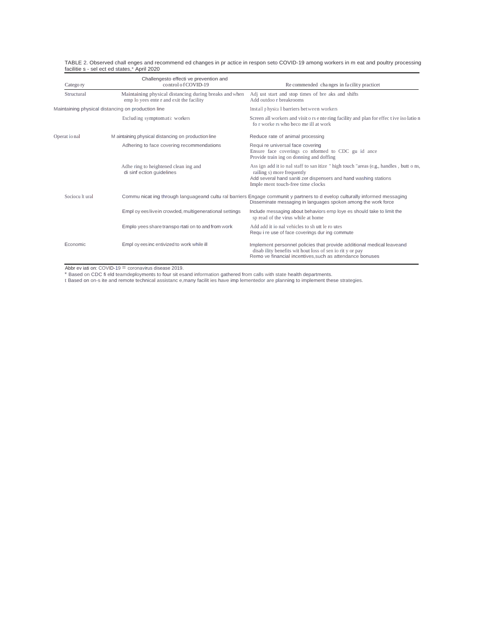| TABLE 2. Observed chall enges and recommend ed changes in pr actice in respon seto COVID-19 among workers in m eat and poultry processing |  |
|-------------------------------------------------------------------------------------------------------------------------------------------|--|
| facilitie s - sel ect ed states.* April 2020                                                                                              |  |

| Catego ry                                          | Challengesto effecti ve prevention and<br>control of COVID-19                                     | Recommended changes in facility practicet                                                                                                                                                                                      |
|----------------------------------------------------|---------------------------------------------------------------------------------------------------|--------------------------------------------------------------------------------------------------------------------------------------------------------------------------------------------------------------------------------|
| Structural                                         | Maintaining physical distancing during breaks and when<br>emp lo yees enter and exit the facility | Adj ust start and stop times of bre aks and shifts<br>Add outdoo r breakrooms                                                                                                                                                  |
| Maintaining physical distancing on production line |                                                                                                   | Install physica I barriers between workers                                                                                                                                                                                     |
|                                                    | Excluding symptomatic workers                                                                     | Screen all workers and visit o rs e nte ring facility and plan for effec t ive iso latio n<br>for worke rs who become ill at work                                                                                              |
| Operat io nal                                      | M aintaining physical distancing on production line                                               | Reduce rate of animal processing                                                                                                                                                                                               |
|                                                    | Adhering to face covering recommendations                                                         | Requi re universal face covering<br>Ensure face coverings co nformed to CDC gu id ance<br>Provide train ing on donning and doffing                                                                                             |
|                                                    | Adhe ring to heightened clean ing and<br>di sinf ection quidelines                                | Ass ign add it io nal staff to san itize " high touch "areas (e.g., handles, butt o ns,<br>railing s) more frequently<br>Add several hand saniti zer dispensers and hand washing stations<br>Imple ment touch-free time clocks |
| Sociocu lt ural                                    |                                                                                                   | Commu nicat ing through languageand cultu ral barriers Engage communit y partners to d evelop culturally informed messaging<br>Disseminate messaging in languages spoken among the work force                                  |
|                                                    | Empl oy ees live in crowded, multigenerational settings                                           | Include messaging about behaviors emp loye es should take to limit the<br>sp read of the virus while at home                                                                                                                   |
|                                                    | Emplo yees share transportati on to and from work                                                 | Add add it io nal vehicles to sh utt le ro utes<br>Requ i re use of face coverings dur ing commute                                                                                                                             |
| Economic                                           | Empl oy ees inc entivized to work while ill                                                       | Implement personnel policies that provide additional medical leaveand<br>disability benefits wit hout loss of sen io rit y or pay<br>Remo ve financial incentives, such as attendance bonuses                                  |

Abbr ev iati on: COVID-19 = coronavirus disease 2019.<br>\* Based on CDC fi eld teamdeployments to four sit esand information gathered from calls with state health departments.<br>t Based on on-s ite and remote technical assistan